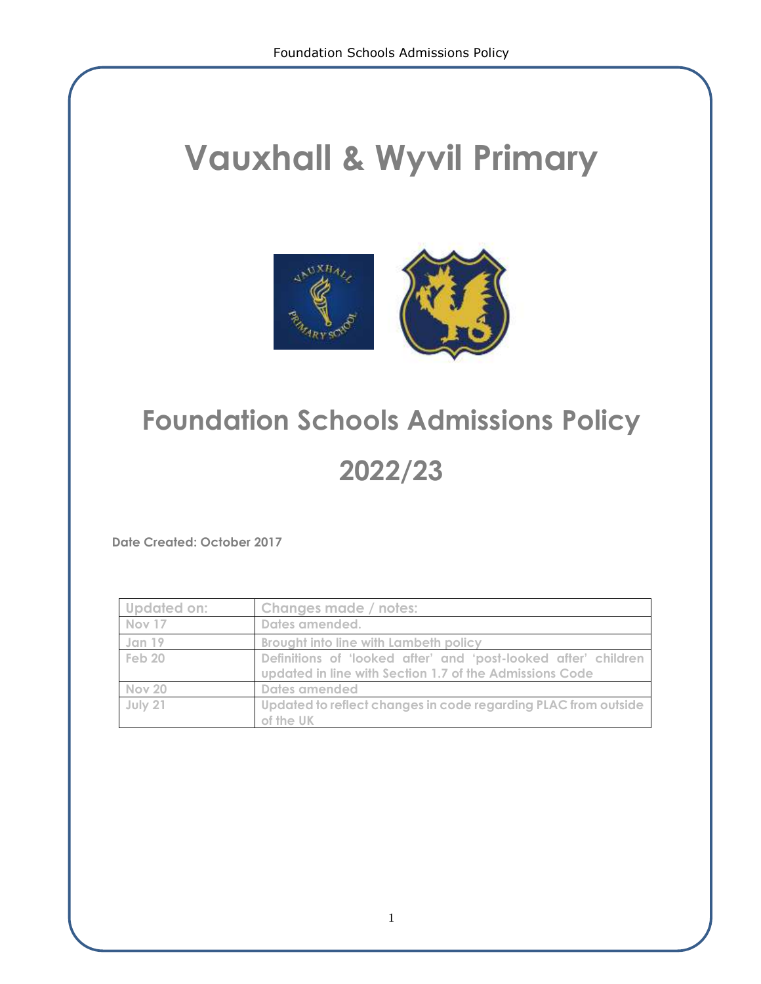# **Vauxhall & Wyvil Primary**



## **Foundation Schools Admissions Policy**

### **2022/23**

**Date Created: October 2017**

| Updated on: | Changes made / notes:                                                                                                     |
|-------------|---------------------------------------------------------------------------------------------------------------------------|
| Nov 17      | Dates amended.                                                                                                            |
| Jan 19      | <b>Brought into line with Lambeth policy</b>                                                                              |
| Feb 20      | Definitions of 'looked after' and 'post-looked after' children<br>updated in line with Section 1.7 of the Admissions Code |
| Nov 20      | Dates amended                                                                                                             |
| July 21     | Updated to reflect changes in code regarding PLAC from outside<br>of the UK                                               |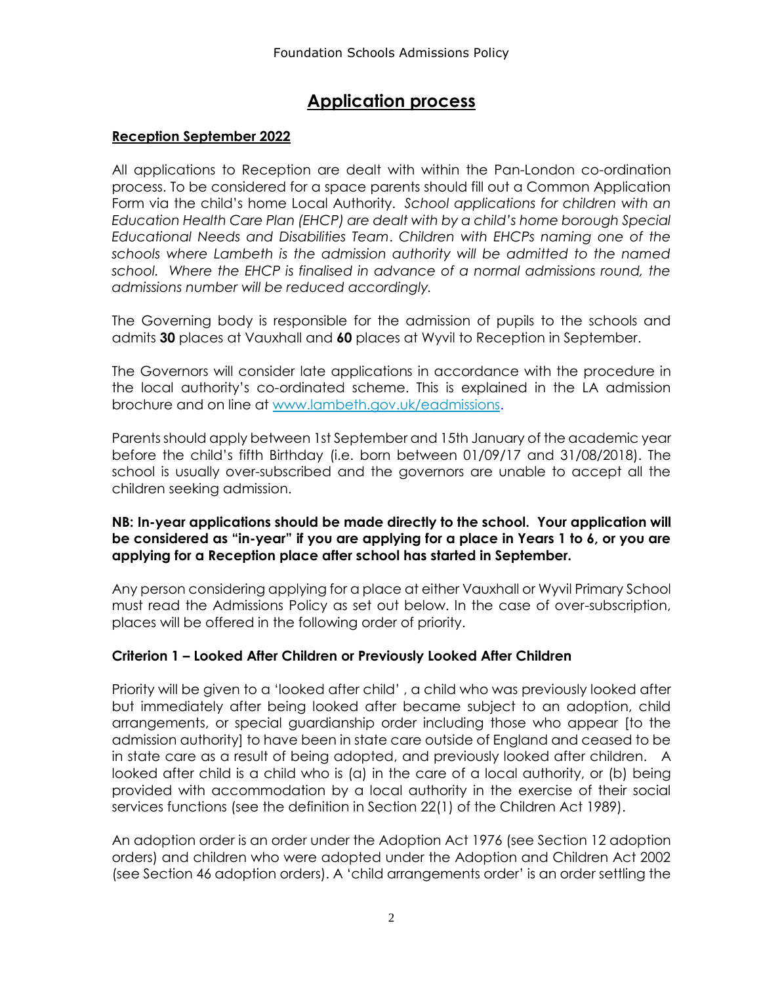### **Application process**

#### **Reception September 2022**

All applications to Reception are dealt with within the Pan-London co-ordination process. To be considered for a space parents should fill out a Common Application Form via the child's home Local Authority. *School applications for children with an Education Health Care Plan (EHCP) are dealt with by a child's home borough Special Educational Needs and Disabilities Team*. *Children with EHCPs naming one of the schools where Lambeth is the admission authority will be admitted to the named school. Where the EHCP is finalised in advance of a normal admissions round, the admissions number will be reduced accordingly.* 

The Governing body is responsible for the admission of pupils to the schools and admits **30** places at Vauxhall and **60** places at Wyvil to Reception in September.

The Governors will consider late applications in accordance with the procedure in the local authority's co-ordinated scheme. This is explained in the LA admission brochure and on line at [www.lambeth.gov.uk/eadmissions.](http://www.lambeth.gov.uk/eadmissions)

Parents should apply between 1st September and 15th January of the academic year before the child's fifth Birthday (i.e. born between 01/09/17 and 31/08/2018). The school is usually over-subscribed and the governors are unable to accept all the children seeking admission.

#### **NB: In-year applications should be made directly to the school. Your application will be considered as "in-year" if you are applying for a place in Years 1 to 6, or you are applying for a Reception place after school has started in September.**

Any person considering applying for a place at either Vauxhall or Wyvil Primary School must read the Admissions Policy as set out below. In the case of over-subscription, places will be offered in the following order of priority.

#### **Criterion 1 – Looked After Children or Previously Looked After Children**

Priority will be given to a 'looked after child' , a child who was previously looked after but immediately after being looked after became subject to an adoption, child arrangements, or special guardianship order including those who appear [to the admission authority] to have been in state care outside of England and ceased to be in state care as a result of being adopted, and previously looked after children. A looked after child is a child who is (a) in the care of a local authority, or (b) being provided with accommodation by a local authority in the exercise of their social services functions (see the definition in Section 22(1) of the Children Act 1989).

An adoption order is an order under the Adoption Act 1976 (see Section 12 adoption orders) and children who were adopted under the Adoption and Children Act 2002 (see Section 46 adoption orders). A 'child arrangements order' is an order settling the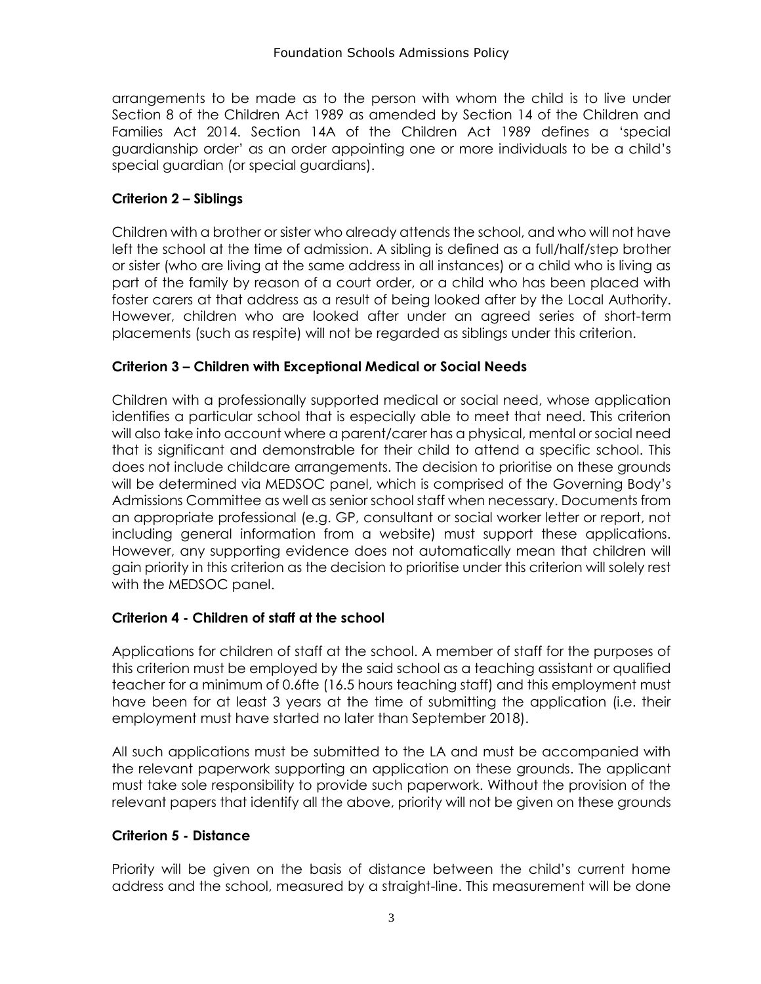arrangements to be made as to the person with whom the child is to live under Section 8 of the Children Act 1989 as amended by Section 14 of the Children and Families Act 2014. Section 14A of the Children Act 1989 defines a 'special guardianship order' as an order appointing one or more individuals to be a child's special guardian (or special guardians).

#### **Criterion 2 – Siblings**

Children with a brother or sister who already attends the school, and who will not have left the school at the time of admission. A sibling is defined as a full/half/step brother or sister (who are living at the same address in all instances) or a child who is living as part of the family by reason of a court order, or a child who has been placed with foster carers at that address as a result of being looked after by the Local Authority. However, children who are looked after under an agreed series of short-term placements (such as respite) will not be regarded as siblings under this criterion.

#### **Criterion 3 – Children with Exceptional Medical or Social Needs**

Children with a professionally supported medical or social need, whose application identifies a particular school that is especially able to meet that need. This criterion will also take into account where a parent/carer has a physical, mental or social need that is significant and demonstrable for their child to attend a specific school. This does not include childcare arrangements. The decision to prioritise on these grounds will be determined via MEDSOC panel, which is comprised of the Governing Body's Admissions Committee as well as senior school staff when necessary. Documents from an appropriate professional (e.g. GP, consultant or social worker letter or report, not including general information from a website) must support these applications. However, any supporting evidence does not automatically mean that children will gain priority in this criterion as the decision to prioritise under this criterion will solely rest with the MEDSOC panel.

#### **Criterion 4 - Children of staff at the school**

Applications for children of staff at the school. A member of staff for the purposes of this criterion must be employed by the said school as a teaching assistant or qualified teacher for a minimum of 0.6fte (16.5 hours teaching staff) and this employment must have been for at least 3 years at the time of submitting the application (i.e. their employment must have started no later than September 2018).

All such applications must be submitted to the LA and must be accompanied with the relevant paperwork supporting an application on these grounds. The applicant must take sole responsibility to provide such paperwork. Without the provision of the relevant papers that identify all the above, priority will not be given on these grounds

#### **Criterion 5 - Distance**

Priority will be given on the basis of distance between the child's current home address and the school, measured by a straight-line. This measurement will be done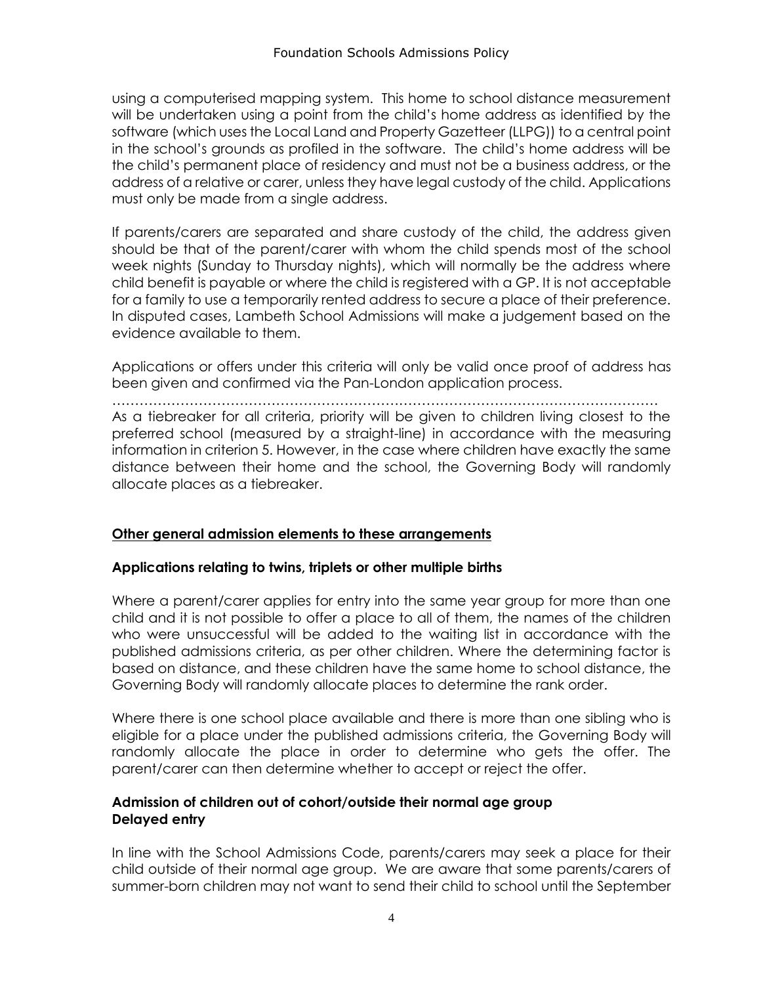using a computerised mapping system. This home to school distance measurement will be undertaken using a point from the child's home address as identified by the software (which uses the Local Land and Property Gazetteer (LLPG)) to a central point in the school's grounds as profiled in the software. The child's home address will be the child's permanent place of residency and must not be a business address, or the address of a relative or carer, unless they have legal custody of the child. Applications must only be made from a single address.

If parents/carers are separated and share custody of the child, the address given should be that of the parent/carer with whom the child spends most of the school week nights (Sunday to Thursday nights), which will normally be the address where child benefit is payable or where the child is registered with a GP. It is not acceptable for a family to use a temporarily rented address to secure a place of their preference. In disputed cases, Lambeth School Admissions will make a judgement based on the evidence available to them.

Applications or offers under this criteria will only be valid once proof of address has been given and confirmed via the Pan-London application process.

…………………………………………………………………………………………………………

As a tiebreaker for all criteria, priority will be given to children living closest to the preferred school (measured by a straight-line) in accordance with the measuring information in criterion 5. However, in the case where children have exactly the same distance between their home and the school, the Governing Body will randomly allocate places as a tiebreaker.

#### **Other general admission elements to these arrangements**

#### **Applications relating to twins, triplets or other multiple births**

Where a parent/carer applies for entry into the same year group for more than one child and it is not possible to offer a place to all of them, the names of the children who were unsuccessful will be added to the waiting list in accordance with the published admissions criteria, as per other children. Where the determining factor is based on distance, and these children have the same home to school distance, the Governing Body will randomly allocate places to determine the rank order.

Where there is one school place available and there is more than one sibling who is eligible for a place under the published admissions criteria, the Governing Body will randomly allocate the place in order to determine who gets the offer. The parent/carer can then determine whether to accept or reject the offer.

#### **Admission of children out of cohort/outside their normal age group Delayed entry**

In line with the School Admissions Code, parents/carers may seek a place for their child outside of their normal age group. We are aware that some parents/carers of summer-born children may not want to send their child to school until the September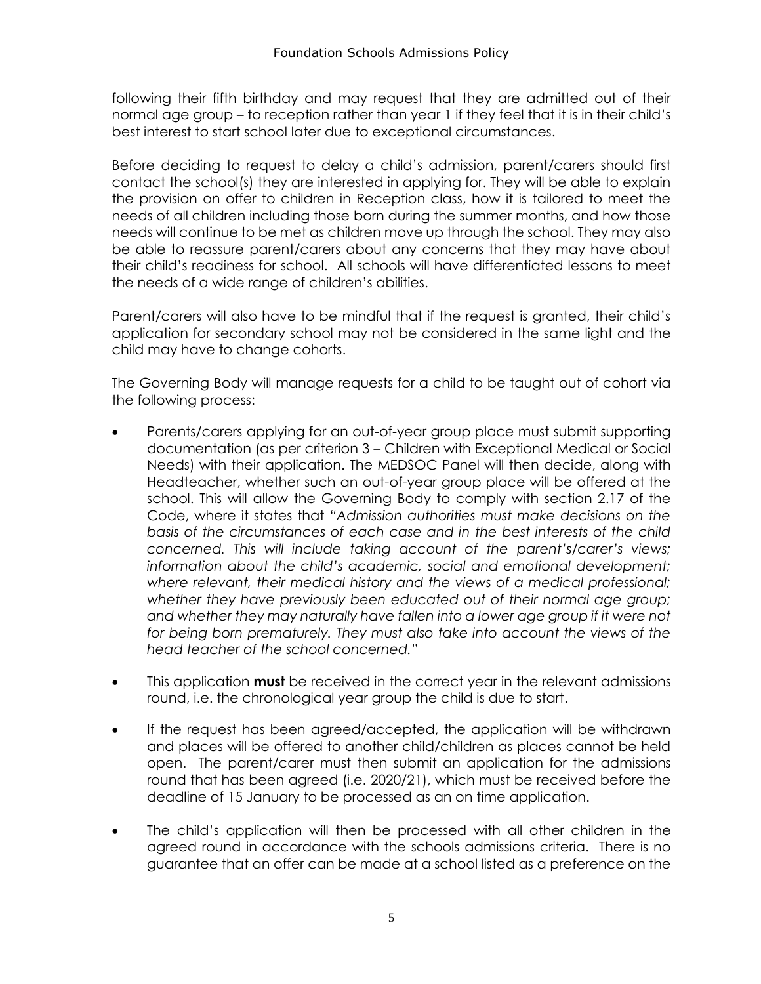following their fifth birthday and may request that they are admitted out of their normal age group – to reception rather than year 1 if they feel that it is in their child's best interest to start school later due to exceptional circumstances.

Before deciding to request to delay a child's admission, parent/carers should first contact the school(s) they are interested in applying for. They will be able to explain the provision on offer to children in Reception class, how it is tailored to meet the needs of all children including those born during the summer months, and how those needs will continue to be met as children move up through the school. They may also be able to reassure parent/carers about any concerns that they may have about their child's readiness for school. All schools will have differentiated lessons to meet the needs of a wide range of children's abilities.

Parent/carers will also have to be mindful that if the request is granted, their child's application for secondary school may not be considered in the same light and the child may have to change cohorts.

The Governing Body will manage requests for a child to be taught out of cohort via the following process:

- Parents/carers applying for an out-of-year group place must submit supporting documentation (as per criterion 3 – Children with Exceptional Medical or Social Needs) with their application. The MEDSOC Panel will then decide, along with Headteacher, whether such an out-of-year group place will be offered at the school. This will allow the Governing Body to comply with section 2.17 of the Code, where it states that *"Admission authorities must make decisions on the basis of the circumstances of each case and in the best interests of the child concerned. This will include taking account of the parent's/carer's views; information about the child's academic, social and emotional development; where relevant, their medical history and the views of a medical professional; whether they have previously been educated out of their normal age group;*  and whether they may naturally have fallen into a lower age group if it were not *for being born prematurely. They must also take into account the views of the head teacher of the school concerned.*"
- This application **must** be received in the correct year in the relevant admissions round, i.e. the chronological year group the child is due to start.
- If the request has been agreed/accepted, the application will be withdrawn and places will be offered to another child/children as places cannot be held open. The parent/carer must then submit an application for the admissions round that has been agreed (i.e. 2020/21), which must be received before the deadline of 15 January to be processed as an on time application.
- The child's application will then be processed with all other children in the agreed round in accordance with the schools admissions criteria. There is no guarantee that an offer can be made at a school listed as a preference on the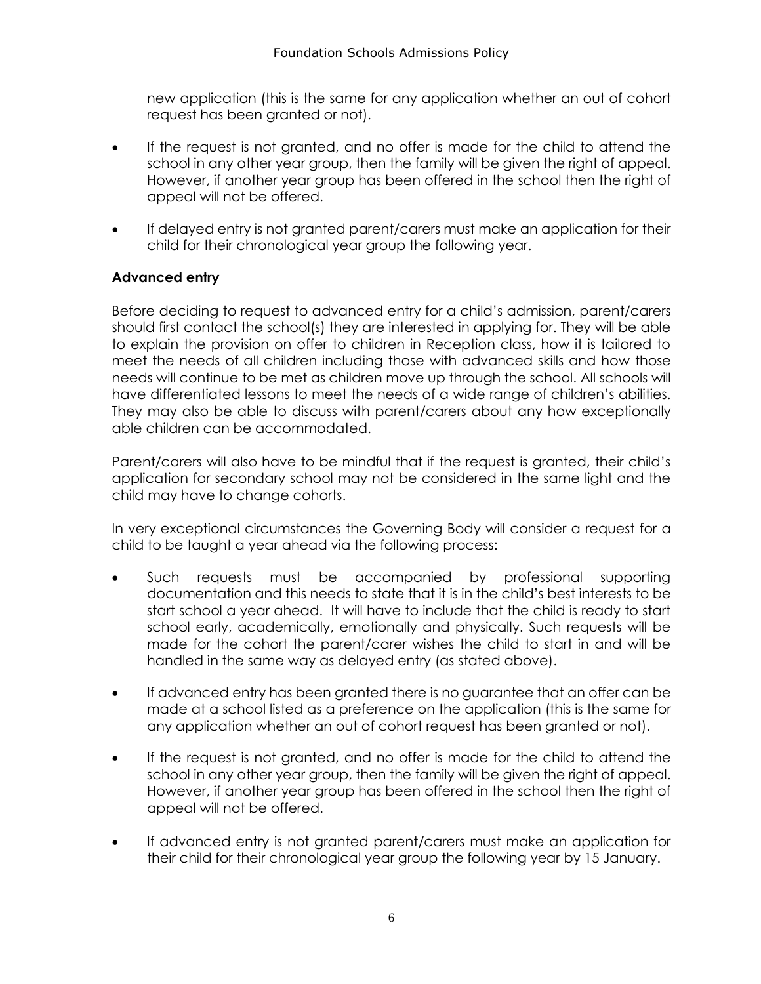new application (this is the same for any application whether an out of cohort request has been granted or not).

- If the request is not granted, and no offer is made for the child to attend the school in any other year group, then the family will be given the right of appeal. However, if another year group has been offered in the school then the right of appeal will not be offered.
- If delayed entry is not granted parent/carers must make an application for their child for their chronological year group the following year.

#### **Advanced entry**

Before deciding to request to advanced entry for a child's admission, parent/carers should first contact the school(s) they are interested in applying for. They will be able to explain the provision on offer to children in Reception class, how it is tailored to meet the needs of all children including those with advanced skills and how those needs will continue to be met as children move up through the school. All schools will have differentiated lessons to meet the needs of a wide range of children's abilities. They may also be able to discuss with parent/carers about any how exceptionally able children can be accommodated.

Parent/carers will also have to be mindful that if the request is granted, their child's application for secondary school may not be considered in the same light and the child may have to change cohorts.

In very exceptional circumstances the Governing Body will consider a request for a child to be taught a year ahead via the following process:

- Such requests must be accompanied by professional supporting documentation and this needs to state that it is in the child's best interests to be start school a year ahead. It will have to include that the child is ready to start school early, academically, emotionally and physically. Such requests will be made for the cohort the parent/carer wishes the child to start in and will be handled in the same way as delayed entry (as stated above).
- If advanced entry has been granted there is no guarantee that an offer can be made at a school listed as a preference on the application (this is the same for any application whether an out of cohort request has been granted or not).
- If the request is not granted, and no offer is made for the child to attend the school in any other year group, then the family will be given the right of appeal. However, if another year group has been offered in the school then the right of appeal will not be offered.
- If advanced entry is not granted parent/carers must make an application for their child for their chronological year group the following year by 15 January.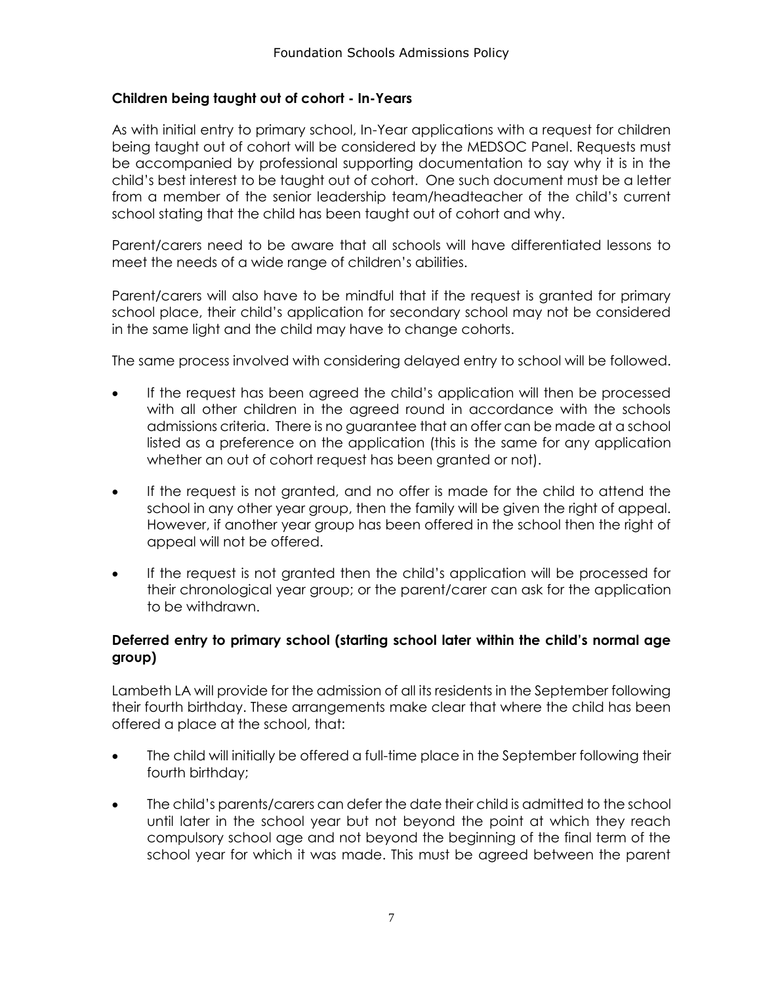#### **Children being taught out of cohort - In-Years**

As with initial entry to primary school, In-Year applications with a request for children being taught out of cohort will be considered by the MEDSOC Panel. Requests must be accompanied by professional supporting documentation to say why it is in the child's best interest to be taught out of cohort. One such document must be a letter from a member of the senior leadership team/headteacher of the child's current school stating that the child has been taught out of cohort and why.

Parent/carers need to be aware that all schools will have differentiated lessons to meet the needs of a wide range of children's abilities.

Parent/carers will also have to be mindful that if the request is granted for primary school place, their child's application for secondary school may not be considered in the same light and the child may have to change cohorts.

The same process involved with considering delayed entry to school will be followed.

- If the request has been agreed the child's application will then be processed with all other children in the agreed round in accordance with the schools admissions criteria. There is no guarantee that an offer can be made at a school listed as a preference on the application (this is the same for any application whether an out of cohort request has been granted or not).
- If the request is not granted, and no offer is made for the child to attend the school in any other year group, then the family will be given the right of appeal. However, if another year group has been offered in the school then the right of appeal will not be offered.
- If the request is not granted then the child's application will be processed for their chronological year group; or the parent/carer can ask for the application to be withdrawn.

#### **Deferred entry to primary school (starting school later within the child's normal age group)**

Lambeth LA will provide for the admission of all its residents in the September following their fourth birthday. These arrangements make clear that where the child has been offered a place at the school, that:

- The child will initially be offered a full-time place in the September following their fourth birthday;
- The child's parents/carers can defer the date their child is admitted to the school until later in the school year but not beyond the point at which they reach compulsory school age and not beyond the beginning of the final term of the school year for which it was made. This must be agreed between the parent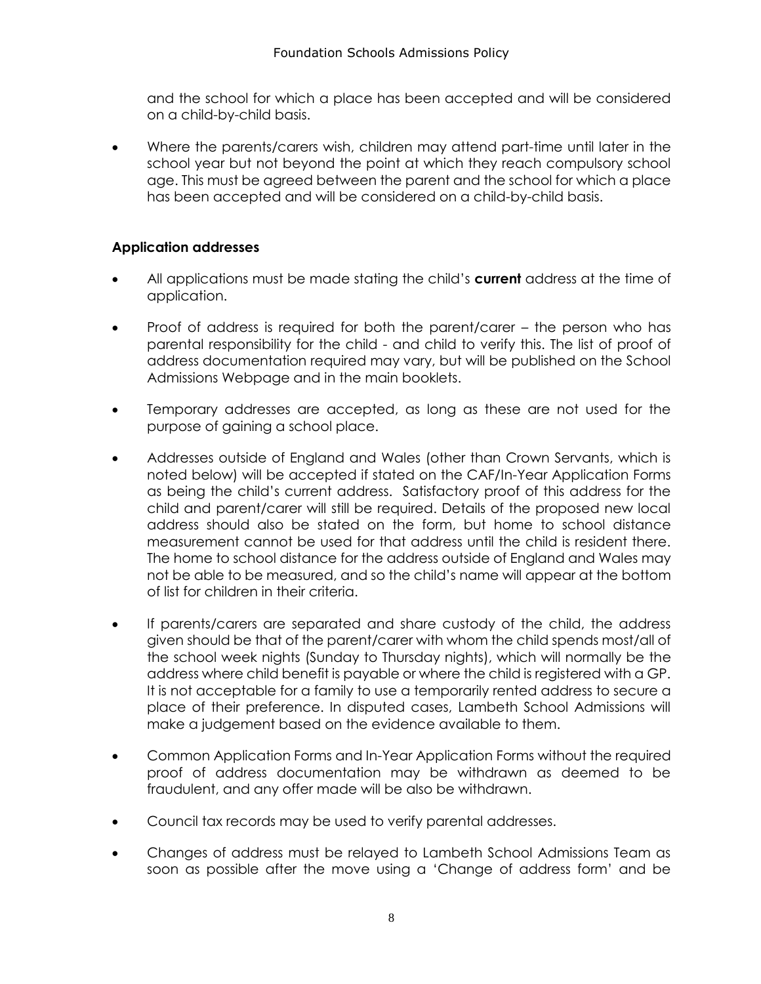and the school for which a place has been accepted and will be considered on a child-by-child basis.

 Where the parents/carers wish, children may attend part-time until later in the school year but not beyond the point at which they reach compulsory school age. This must be agreed between the parent and the school for which a place has been accepted and will be considered on a child-by-child basis.

#### **Application addresses**

- All applications must be made stating the child's **current** address at the time of application.
- Proof of address is required for both the parent/carer the person who has parental responsibility for the child - and child to verify this. The list of proof of address documentation required may vary, but will be published on the School Admissions Webpage and in the main booklets.
- Temporary addresses are accepted, as long as these are not used for the purpose of gaining a school place.
- Addresses outside of England and Wales (other than Crown Servants, which is noted below) will be accepted if stated on the CAF/In-Year Application Forms as being the child's current address. Satisfactory proof of this address for the child and parent/carer will still be required. Details of the proposed new local address should also be stated on the form, but home to school distance measurement cannot be used for that address until the child is resident there. The home to school distance for the address outside of England and Wales may not be able to be measured, and so the child's name will appear at the bottom of list for children in their criteria.
- If parents/carers are separated and share custody of the child, the address given should be that of the parent/carer with whom the child spends most/all of the school week nights (Sunday to Thursday nights), which will normally be the address where child benefit is payable or where the child is registered with a GP. It is not acceptable for a family to use a temporarily rented address to secure a place of their preference. In disputed cases, Lambeth School Admissions will make a judgement based on the evidence available to them.
- Common Application Forms and In-Year Application Forms without the required proof of address documentation may be withdrawn as deemed to be fraudulent, and any offer made will be also be withdrawn.
- Council tax records may be used to verify parental addresses.
- Changes of address must be relayed to Lambeth School Admissions Team as soon as possible after the move using a 'Change of address form' and be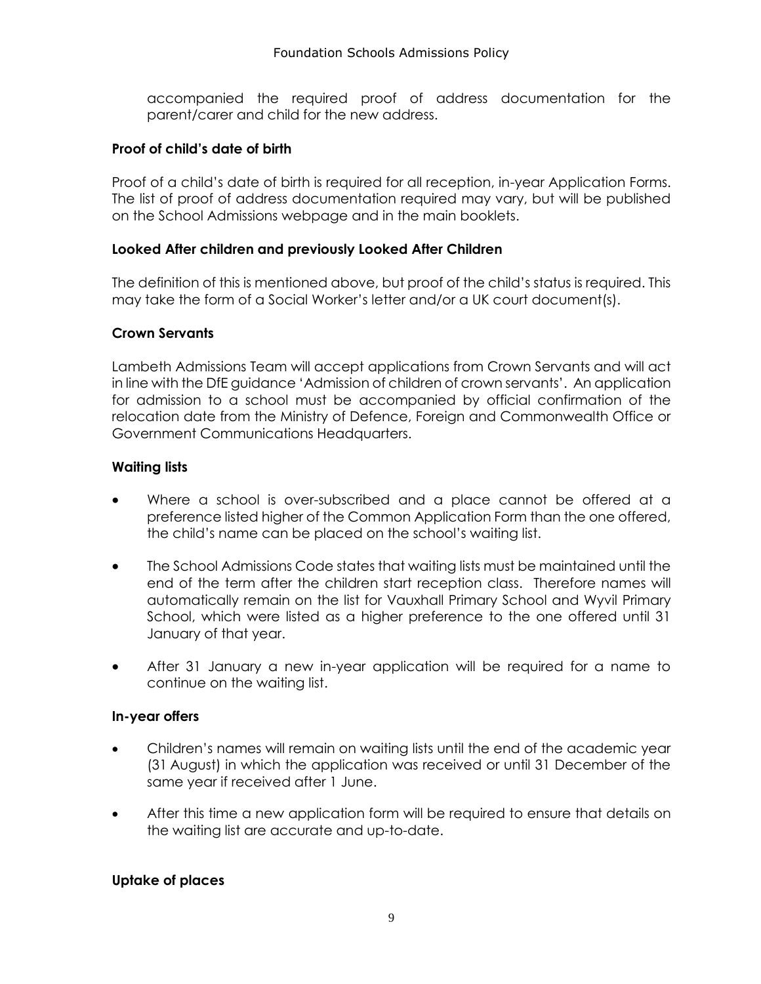accompanied the required proof of address documentation for the parent/carer and child for the new address.

#### **Proof of child's date of birth**

Proof of a child's date of birth is required for all reception, in-year Application Forms. The list of proof of address documentation required may vary, but will be published on the School Admissions webpage and in the main booklets.

#### **Looked After children and previously Looked After Children**

The definition of this is mentioned above, but proof of the child's status is required. This may take the form of a Social Worker's letter and/or a UK court document(s).

#### **Crown Servants**

Lambeth Admissions Team will accept applications from Crown Servants and will act in line with the DfE guidance 'Admission of children of crown servants'. An application for admission to a school must be accompanied by official confirmation of the relocation date from the Ministry of Defence, Foreign and Commonwealth Office or Government Communications Headquarters.

#### **Waiting lists**

- Where a school is over-subscribed and a place cannot be offered at a preference listed higher of the Common Application Form than the one offered, the child's name can be placed on the school's waiting list.
- The School Admissions Code states that waiting lists must be maintained until the end of the term after the children start reception class. Therefore names will automatically remain on the list for Vauxhall Primary School and Wyvil Primary School, which were listed as a higher preference to the one offered until 31 January of that year.
- After 31 January a new in-year application will be required for a name to continue on the waiting list.

#### **In-year offers**

- Children's names will remain on waiting lists until the end of the academic year (31 August) in which the application was received or until 31 December of the same year if received after 1 June.
- After this time a new application form will be required to ensure that details on the waiting list are accurate and up-to-date.

#### **Uptake of places**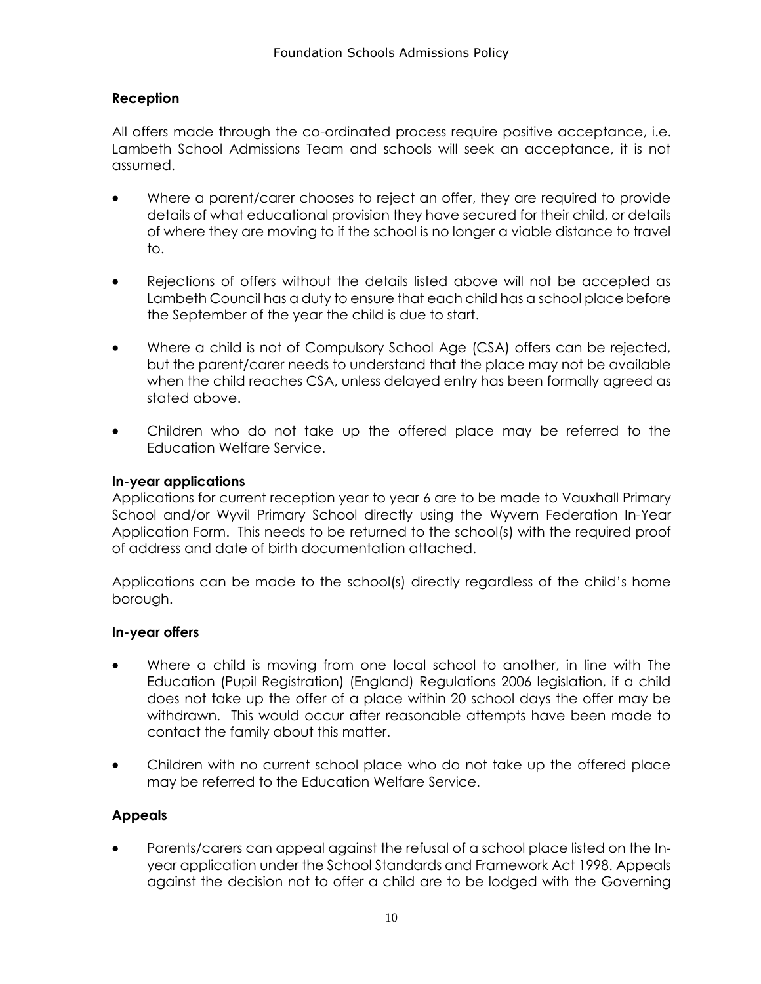#### **Reception**

All offers made through the co-ordinated process require positive acceptance, i.e. Lambeth School Admissions Team and schools will seek an acceptance, it is not assumed.

- Where a parent/carer chooses to reject an offer, they are required to provide details of what educational provision they have secured for their child, or details of where they are moving to if the school is no longer a viable distance to travel to.
- Rejections of offers without the details listed above will not be accepted as Lambeth Council has a duty to ensure that each child has a school place before the September of the year the child is due to start.
- Where a child is not of Compulsory School Age (CSA) offers can be rejected, but the parent/carer needs to understand that the place may not be available when the child reaches CSA, unless delayed entry has been formally agreed as stated above.
- Children who do not take up the offered place may be referred to the Education Welfare Service.

#### **In-year applications**

Applications for current reception year to year 6 are to be made to Vauxhall Primary School and/or Wyvil Primary School directly using the Wyvern Federation In-Year Application Form. This needs to be returned to the school(s) with the required proof of address and date of birth documentation attached.

Applications can be made to the school(s) directly regardless of the child's home borough.

#### **In-year offers**

- Where a child is moving from one local school to another, in line with The Education (Pupil Registration) (England) Regulations 2006 legislation, if a child does not take up the offer of a place within 20 school days the offer may be withdrawn. This would occur after reasonable attempts have been made to contact the family about this matter.
- Children with no current school place who do not take up the offered place may be referred to the Education Welfare Service.

#### **Appeals**

 Parents/carers can appeal against the refusal of a school place listed on the Inyear application under the School Standards and Framework Act 1998. Appeals against the decision not to offer a child are to be lodged with the Governing